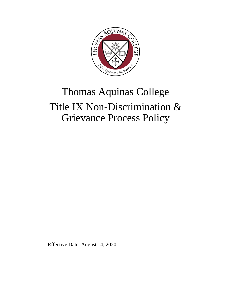

# Thomas Aquinas College Title IX Non-Discrimination & Grievance Process Policy

Effective Date: August 14, 2020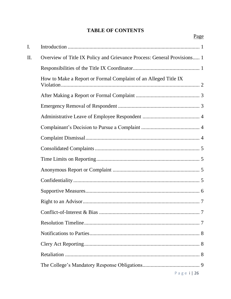# **TABLE OF CONTENTS**

Page

| $\mathbf{I}$ . |                                                                         |  |
|----------------|-------------------------------------------------------------------------|--|
| II.            | Overview of Title IX Policy and Grievance Process: General Provisions 1 |  |
|                |                                                                         |  |
|                | How to Make a Report or Formal Complaint of an Alleged Title IX         |  |
|                |                                                                         |  |
|                |                                                                         |  |
|                |                                                                         |  |
|                |                                                                         |  |
|                |                                                                         |  |
|                |                                                                         |  |
|                |                                                                         |  |
|                |                                                                         |  |
|                |                                                                         |  |
|                |                                                                         |  |
|                |                                                                         |  |
|                |                                                                         |  |
|                |                                                                         |  |
|                |                                                                         |  |
|                |                                                                         |  |
|                |                                                                         |  |
|                |                                                                         |  |
|                | Page $i$   26                                                           |  |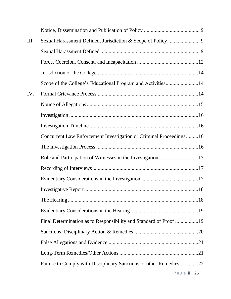| III. |                                                                    |               |
|------|--------------------------------------------------------------------|---------------|
|      |                                                                    |               |
|      |                                                                    |               |
|      |                                                                    |               |
|      | Scope of the College's Educational Program and Activities14        |               |
| IV.  |                                                                    |               |
|      |                                                                    |               |
|      |                                                                    |               |
|      |                                                                    |               |
|      | Concurrent Law Enforcement Investigation or Criminal Proceedings16 |               |
|      |                                                                    |               |
|      | Role and Participation of Witnesses in the Investigation17         |               |
|      |                                                                    |               |
|      |                                                                    |               |
|      |                                                                    |               |
|      |                                                                    |               |
|      |                                                                    |               |
|      | Final Determination as to Responsibility and Standard of Proof 19  |               |
|      |                                                                    |               |
|      |                                                                    |               |
|      |                                                                    |               |
|      | Failure to Comply with Disciplinary Sanctions or other Remedies 22 |               |
|      |                                                                    | Page ii $ 26$ |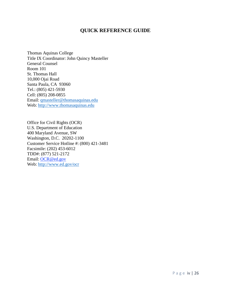## **QUICK REFERENCE GUIDE**

Thomas Aquinas College Title IX Coordinator: John Quincy Masteller General Counsel Room 101 St. Thomas Hall 10,000 Ojai Road Santa Paula, CA 93060 Tel.: (805) 421-5930 Cell: (805) 208-0855 Email: [qmasteller@thomasaquinas.edu](mailto:qmasteller@thomasaquinas.edu) Web: [http://www.thomasaquinas.edu](http://www.thomasaquinas.edu/)

Office for Civil Rights (OCR) U.S. Department of Education 400 Maryland Avenue, SW Washington, D.C. 20202-1100 Customer Service Hotline #: (800) 421-3481 Facsimile: (202) 453-6012 TDD#: (877) 521-2172 Email: [OCR@ed.gov](mailto:OCR@ed.gov) Web: <http://www.ed.gov/ocr>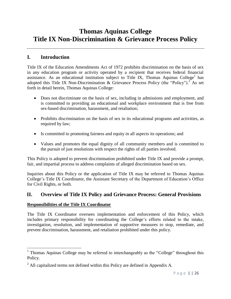# **Thomas Aquinas College Title IX Non-Discrimination & Grievance Process Policy**

# <span id="page-5-0"></span>**I. Introduction**

Title IX of the Education Amendments Act of 1972 prohibits discrimination on the basis of sex in any education program or activity operated by a recipient that receives federal financial assistance. As an educational institution subject to Title IX, Thomas Aquinas College<sup>1</sup> has adopted this Title IX Non-Discrimination & Grievance Process Policy (the "Policy").<sup>2</sup> As set forth in detail herein, Thomas Aquinas College:

- Does not discriminate on the basis of sex, including in admissions and employment, and is committed to providing an educational and workplace environment that is free from sex-based discrimination, harassment, and retaliation;
- Prohibits discrimination on the basis of sex in its educational programs and activities, as required by law;
- Is committed to promoting fairness and equity in all aspects its operations; and
- Values and promotes the equal dignity of all community members and is committed to the pursuit of just resolutions with respect the rights of all parties involved.

This Policy is adopted to prevent discrimination prohibited under Title IX and provide a prompt, fair, and impartial process to address complaints of alleged discrimination based on sex.

Inquiries about this Policy or the application of Title IX may be referred to Thomas Aquinas College's Title IX Coordinator, the Assistant Secretary of the Department of Education's Office for Civil Rights, or both.

# <span id="page-5-1"></span>**II. Overview of Title IX Policy and Grievance Process: General Provisions**

## <span id="page-5-2"></span>**Responsibilities of the Title IX Coordinator**

The Title IX Coordinator oversees implementation and enforcement of this Policy, which includes primary responsibility for coordinating the College's efforts related to the intake, investigation, resolution, and implementation of supportive measures to stop, remediate, and prevent discrimination, harassment, and retaliation prohibited under this policy.

<sup>&</sup>lt;sup>1</sup> Thomas Aquinas College may be referred to interchangeably as the "College" throughout this Policy.

 $2$  All capitalized terms not defined within this Policy are defined in Appendix A.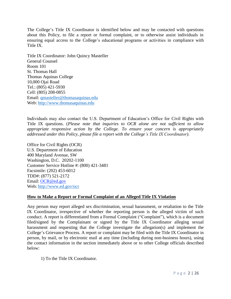The College's Title IX Coordinator is identified below and may be contacted with questions about this Policy, to file a report or formal complaint, or to otherwise assist individuals in ensuring equal access to the College's educational programs or activities in compliance with Title IX.

Title IX Coordinator: John Quincy Masteller General Counsel Room 101 St. Thomas Hall Thomas Aquinas College 10,000 Ojai Road Tel.: (805) 421-5930 Cell: (805) 208-0855 Email: [qmasteller@thomasaquinas.edu](mailto:qmasteller@thomasaquinas.edu) Web: [http://www.thomasaquinas.edu](http://www.thomasaquinas.edu/)

Individuals may also contact the U.S. Department of Education's Office for Civil Rights with Title IX questions. (*Please note that inquiries to OCR alone are not sufficient to allow appropriate responsive action by the College. To ensure your concern is appropriately addressed under this Policy, please file a report with the College's Title IX Coordinator).*

Office for Civil Rights (OCR) U.S. Department of Education 400 Maryland Avenue, SW Washington, D.C. 20202-1100 Customer Service Hotline #: (800) 421-3481 Facsimile: (202) 453-6012 TDD#: (877) 521-2172 Email: [OCR@ed.gov](mailto:OCR@ed.gov) Web: <http://www.ed.gov/ocr>

#### <span id="page-6-0"></span>**How to Make a Report or Formal Complaint of an Alleged Title IX Violation**

Any person may report alleged sex discrimination, sexual harassment, or retaliation to the Title IX Coordinator, irrespective of whether the reporting person is the alleged victim of such conduct. A report is differentiated from a Formal Complaint ("Complaint"), which is a document filed/signed by the Complainant or signed by the Title IX Coordinator alleging sexual harassment and requesting that the College investigate the allegation(s) and implement the College's Grievance Process. A report or complaint may be filed with the Title IX Coordinator in person, by mail, or by electronic mail at any time (including during non-business hours), using the contact information in the section immediately above or to other College officials described below:

1) To the Title IX Coordinator.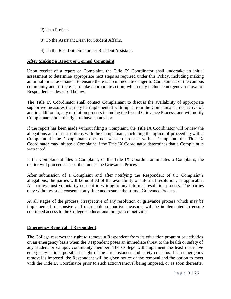2) To a Prefect.

3) To the Assistant Dean for Student Affairs.

4) To the Resident Directors or Resident Assistant.

#### <span id="page-7-0"></span>**After Making a Report or Formal Complaint**

Upon receipt of a report or Complaint, the Title IX Coordinator shall undertake an initial assessment to determine appropriate next steps as required under this Policy, including making an initial threat assessment to ensure there is no immediate danger to Complainant or the campus community and, if there is, to take appropriate action, which may include emergency removal of Respondent as described below.

The Title IX Coordinator shall contact Complainant to discuss the availability of appropriate supportive measures that may be implemented with input from the Complainant irrespective of, and in addition to, any resolution process including the formal Grievance Process, and will notify Complainant about the right to have an advisor.

If the report has been made without filing a Complaint, the Title IX Coordinator will review the allegations and discuss options with the Complainant, including the option of proceeding with a Complaint. If the Complainant does not want to proceed with a Complaint, the Title IX Coordinator may initiate a Complaint if the Title IX Coordinator determines that a Complaint is warranted.

If the Complainant files a Complaint, or the Title IX Coordinator initiates a Complaint, the matter will proceed as described under the Grievance Process.

After submission of a Complaint and after notifying the Respondent of the Complaint's allegations, the parties will be notified of the availability of informal resolution, as applicable. All parties must voluntarily consent in writing to any informal resolution process. The parties may withdraw such consent at any time and resume the formal Grievance Process.

At all stages of the process, irrespective of any resolution or grievance process which may be implemented, responsive and reasonable supportive measures will be implemented to ensure continued access to the College's educational program or activities.

#### <span id="page-7-1"></span>**Emergency Removal of Respondent**

The College reserves the right to remove a Respondent from its education program or activities on an emergency basis when the Respondent poses an immediate threat to the health or safety of any student or campus community member. The College will implement the least restrictive emergency actions possible in light of the circumstances and safety concerns. If an emergency removal is imposed, the Respondent will be given notice of the removal and the option to meet with the Title IX Coordinator prior to such action/removal being imposed, or as soon thereafter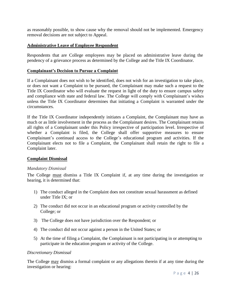as reasonably possible, to show cause why the removal should not be implemented. Emergency removal decisions are not subject to Appeal.

#### <span id="page-8-0"></span>**Administrative Leave of Employee Respondent**

Respondents that are College employees may be placed on administrative leave during the pendency of a grievance process as determined by the College and the Title IX Coordinator.

#### <span id="page-8-1"></span>**Complainant's Decision to Pursue a Complaint**

If a Complainant does not wish to be identified, does not wish for an investigation to take place, or does not want a Complaint to be pursued, the Complainant may make such a request to the Title IX Coordinator who will evaluate the request in light of the duty to ensure campus safety and compliance with state and federal law. The College will comply with Complainant's wishes unless the Title IX Coordinator determines that initiating a Complaint is warranted under the circumstances.

If the Title IX Coordinator independently initiates a Complaint, the Complainant may have as much or as little involvement in the process as the Complainant desires. The Complainant retains all rights of a Complainant under this Policy irrespective of participation level. Irrespective of whether a Complaint is filed, the College shall offer supportive measures to ensure Complainant's continued access to the College's educational program and activities. If the Complainant elects not to file a Complaint, the Complainant shall retain the right to file a Complaint later.

#### <span id="page-8-2"></span>**Complaint Dismissal**

#### *Mandatory Dismissal*

The College must dismiss a Title IX Complaint if, at any time during the investigation or hearing, it is determined that:

- 1) The conduct alleged in the Complaint does not constitute sexual harassment as defined under Title IX; or
- 2) The conduct did not occur in an educational program or activity controlled by the College; or
- 3) The College does not have jurisdiction over the Respondent; or
- 4) The conduct did not occur against a person in the United States; or
- 5) At the time of filing a Complaint, the Complainant is not participating in or attempting to participate in the education program or activity of the College.

#### *Discretionary Dismissal*

The College may dismiss a formal complaint or any allegations therein if at any time during the investigation or hearing: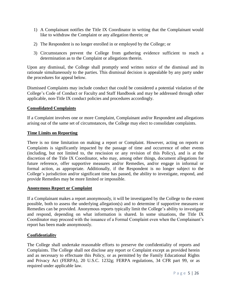- 1) A Complainant notifies the Title IX Coordinator in writing that the Complainant would like to withdraw the Complaint or any allegation therein; or
- 2) The Respondent is no longer enrolled in or employed by the College; or
- 3) Circumstances prevent the College from gathering evidence sufficient to reach a determination as to the Complaint or allegations therein.

Upon any dismissal, the College shall promptly send written notice of the dismissal and its rationale simultaneously to the parties. This dismissal decision is appealable by any party under the procedures for appeal below.

Dismissed Complaints may include conduct that could be considered a potential violation of the College's Code of Conduct or Faculty and Staff Handbook and may be addressed through other applicable, non-Title IX conduct policies and procedures accordingly.

#### <span id="page-9-0"></span>**Consolidated Complaints**

If a Complaint involves one or more Complaint, Complainant and/or Respondent and allegations arising out of the same set of circumstances, the College may elect to consolidate complaints.

#### <span id="page-9-1"></span>**Time Limits on Reporting**

There is no time limitation on making a report or Complaint. However, acting on reports or Complaints is significantly impacted by the passage of time and occurrence of other events (including, but not limited to, the rescission or any revision of this Policy), and is at the discretion of the Title IX Coordinator, who may, among other things, document allegations for future reference, offer supportive measures and/or Remedies, and/or engage in informal or formal action, as appropriate. Additionally, if the Respondent is no longer subject to the College's jurisdiction and/or significant time has passed, the ability to investigate, respond, and provide Remedies may be more limited or impossible.

#### <span id="page-9-2"></span>**Anonymous Report or Complaint**

If a Complainant makes a report anonymously, it will be investigated by the College to the extent possible, both to assess the underlying allegation(s) and to determine if supportive measures or Remedies can be provided. Anonymous reports typically limit the College's ability to investigate and respond, depending on what information is shared. In some situations, the Title IX Coordinator may proceed with the issuance of a Formal Complaint even when the Complainant's report has been made anonymously.

#### <span id="page-9-3"></span>**Confidentiality**

The College shall undertake reasonable efforts to preserve the confidentiality of reports and Complaints. The College shall not disclose any report or Complaint except as provided herein and as necessary to effectuate this Policy, or as permitted by the Family Educational Rights and Privacy Act (FERPA), 20 U.S.C. 1232g; FERPA regulations, 34 CFR part 99, or as required under applicable law.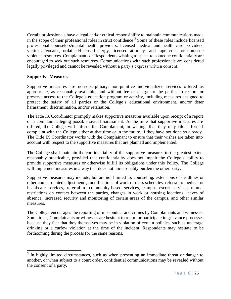Certain professionals have a legal and/or ethical responsibility to maintain communications made in the scope of their professional roles in strict confidence. 3 Some of these roles include licensed professional counselors/mental health providers, licensed medical and health care providers, victim advocates, ordained/licensed clergy, licensed attorneys and rape crisis or domestic violence resources. Complainants or Respondents wishing to speak to someone confidentially are encouraged to seek out such resources. Communications with such professionals are considered legally privileged and cannot be revealed without a party's express written consent.

#### <span id="page-10-0"></span>**Supportive Measures**

l

Supportive measures are non-disciplinary, non-punitive individualized services offered as appropriate, as reasonably available, and without fee or charge to the parties to restore or preserve access to the College's education program or activity, including measures designed to protect the safety of all parties or the College's educational environment, and/or deter harassment, discrimination, and/or retaliation.

The Title IX Coordinator promptly makes supportive measures available upon receipt of a report or a complaint alleging possible sexual harassment. At the time that supportive measures are offered, the College will inform the Complainant, in writing, that they may file a formal complaint with the College either at that time or in the future, if they have not done so already. The Title IX Coordinator works with the Complainant to ensure that their wishes are taken into account with respect to the supportive measures that are planned and implemented.

The College shall maintain the confidentiality of the supportive measures to the greatest extent reasonably practicable, provided that confidentiality does not impair the College's ability to provide supportive measures or otherwise fulfill its obligations under this Policy. The College will implement measures in a way that does not unreasonably burden the other party.

Supportive measures may include, but are not limited to, counseling, extensions of deadlines or other course-related adjustments, modifications of work or class schedules, referral to medical or healthcare services, referral to community-based services, campus escort services, mutual restrictions on contact between the parties, changes in work or housing locations, leaves of absence, increased security and monitoring of certain areas of the campus, and other similar measures.

The College encourages the reporting of misconduct and crimes by Complainants and witnesses. Sometimes, Complainants or witnesses are hesitant to report or participate in grievance processes because they fear that they themselves may be in violation of certain policies, such as underage drinking or a curfew violation at the time of the incident. Respondents may hesitate to be forthcoming during the process for the same reasons.

 $3$  In highly limited circumstances, such as when presenting an immediate threat or danger to another, or when subject to a court order, confidential communications may be revealed without the consent of a party.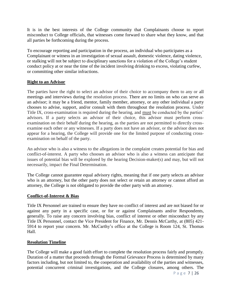It is in the best interests of the College community that Complainants choose to report misconduct to College officials, that witnesses come forward to share what they know, and that all parties be forthcoming during the process.

To encourage reporting and participation in the process, an individual who participates as a Complainant or witness in an investigation of sexual assault, domestic violence, dating violence, or stalking will not be subject to disciplinary sanctions for a violation of the College's student conduct policy at or near the time of the incident involving drinking to excess, violating curfew, or committing other similar infractions.

#### <span id="page-11-0"></span>**Right to an Advisor**

The parties have the right to select an advisor of their choice to accompany them to any or all meetings and interviews during the resolution process. There are no limits on who can serve as an advisor; it may be a friend, mentor, family member, attorney, or any other individual a party chooses to advise, support, and/or consult with them throughout the resolution process. Under Title IX, cross-examination is required during the hearing, and must be conducted by the parties' advisors. If a party selects an advisor of their choice, this advisor must perform crossexamination on their behalf during the hearing, as the parties are not permitted to directly crossexamine each other or any witnesses. If a party does not have an advisor, or the advisor does not appear for a hearing, the College will provide one for the limited purpose of conducting crossexamination on behalf of the party.

An advisor who is also a witness to the allegations in the complaint creates potential for bias and conflict-of-interest. A party who chooses an advisor who is also a witness can anticipate that issues of potential bias will be explored by the hearing Decision-maker(s) and may, but will not necessarily, impact the Final Determination.

The College cannot guarantee equal advisory rights, meaning that if one party selects an advisor who is an attorney, but the other party does not select or retain an attorney or cannot afford an attorney, the College is not obligated to provide the other party with an attorney.

#### <span id="page-11-1"></span>**Conflict-of-Interest & Bias**

Title IX Personnel are trained to ensure they have no conflict of interest and are not biased for or against any party in a specific case, or for or against Complainants and/or Respondents, generally. To raise any concern involving bias, conflict of interest or other misconduct by any Title IX Personnel, contact the Vice President for Finance, Mr. Dennis McCarthy, at (805) 421- 5914 to report your concern. Mr. McCarthy's office at the College is Room 124, St. Thomas Hall.

#### <span id="page-11-2"></span>**Resolution Timeline**

The College will make a good faith effort to complete the resolution process fairly and promptly. Duration of a matter that proceeds through the Formal Grievance Process is determined by many factors including, but not limited to, the cooperation and availability of the parties and witnesses, potential concurrent criminal investigations, and the College closures, among others. The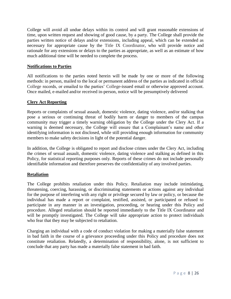College will avoid all undue delays within its control and will grant reasonable extensions of time, upon written request and showing of good cause, by a party. The College shall provide the parties written notice of delays and/or extensions, including appeal, which can be extended as necessary for appropriate cause by the Title IX Coordinator, who will provide notice and rationale for any extensions or delays to the parties as appropriate, as well as an estimate of how much additional time will be needed to complete the process.

#### <span id="page-12-0"></span>**Notifications to Parties**

All notifications to the parties noted herein will be made by one or more of the following methods: in person, mailed to the local or permanent address of the parties as indicated in official College records, or emailed to the parties' College-issued email or otherwise approved account. Once mailed, e-mailed and/or received in-person, notice will be presumptively delivered

#### <span id="page-12-1"></span>**Clery Act Reporting**

Reports or complaints of sexual assault, domestic violence, dating violence, and/or stalking that pose a serious or continuing threat of bodily harm or danger to members of the campus community may trigger a timely warning obligation by the College under the Clery Act. If a warning is deemed necessary, the College will ensure that a Complainant's name and other identifying information is not disclosed, while still providing enough information for community members to make safety decisions in light of the potential danger.

In addition, the College is obligated to report and disclose crimes under the Clery Act, including the crimes of sexual assault, domestic violence, dating violence and stalking as defined in this Policy, for statistical reporting purposes only. Reports of these crimes do not include personally identifiable information and therefore preserves the confidentiality of any involved parties.

#### <span id="page-12-2"></span>**Retaliation**

The College prohibits retaliation under this Policy. Retaliation may include intimidating, threatening, coercing, harassing, or discriminating statements or actions against any individual for the purpose of interfering with any right or privilege secured by law or policy, or because the individual has made a report or complaint, testified, assisted, or participated or refused to participate in any manner in an investigation, proceeding, or hearing under this Policy and procedure. Alleged retaliation should be reported immediately to the Title IX Coordinator and will be promptly investigated. The College will take appropriate action to protect individuals who fear that they may be subjected to retaliation.

Charging an individual with a code of conduct violation for making a materially false statement in bad faith in the course of a grievance proceeding under this Policy and procedure does not constitute retaliation. Relatedly, a determination of responsibility, alone, is not sufficient to conclude that any party has made a materially false statement in bad faith.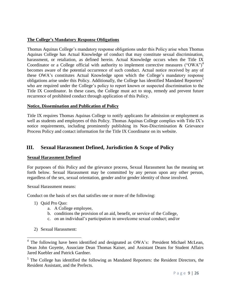#### <span id="page-13-0"></span>**The College's Mandatory Response Obligations**

Thomas Aquinas College's mandatory response obligations under this Policy arise when Thomas Aquinas College has Actual Knowledge of conduct that may constitute sexual discrimination, harassment, or retaliation, as defined herein. Actual Knowledge occurs when the Title IX Coordinator or a College official with authority to implement corrective measures ("OWA")<sup>4</sup> becomes aware of the potential occurrence of such conduct. Actual notice received by any of these OWA's constitutes Actual Knowledge upon which the College's mandatory response obligations arise under this Policy. Additionally, the College has identified Mandated Reporters<sup>5</sup> who are required under the College's policy to report known or suspected discrimination to the Title IX Coordinator. In these cases, the College must act to stop, remedy and prevent future recurrence of prohibited conduct through application of this Policy.

#### <span id="page-13-1"></span>**Notice, Dissemination and Publication of Policy**

Title IX requires Thomas Aquinas College to notify applicants for admission or employment as well as students and employees of this Policy. Thomas Aquinas College complies with Title IX's notice requirements, including prominently publishing its Non-Discrimination & Grievance Process Policy and contact information for the Title IX Coordinator on its website.

# <span id="page-13-2"></span>**III. Sexual Harassment Defined, Jurisdiction & Scope of Policy**

#### <span id="page-13-3"></span>**Sexual Harassment Defined**

For purposes of this Policy and the grievance process, Sexual Harassment has the meaning set forth below. Sexual Harassment may be committed by any person upon any other person, regardless of the sex, sexual orientation, gender and/or gender identity of those involved.

Sexual Harassment means:

Conduct on the basis of sex that satisfies one or more of the following:

- 1) Quid Pro Quo:
	- a. A College employee,
	- b. conditions the provision of an aid, benefit, or service of the College,
	- c. on an individual's participation in unwelcome sexual conduct; and/or
- 2) Sexual Harassment:

 $<sup>5</sup>$  The College has identified the following as Mandated Reporters: the Resident Directors, the</sup> Resident Assistant, and the Prefects.

<sup>&</sup>lt;sup>4</sup> The following have been identified and designated as OWA's: President Michael McLean, Dean John Goyette, Associate Dean Thomas Kaiser, and Assistant Deans for Student Affairs Jared Kuebler and Patrick Gardner.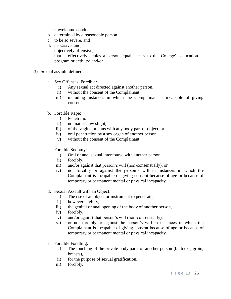- a. unwelcome conduct,
- b. determined by a reasonable person,
- c. to be so severe, and
- d. pervasive, and,
- e. objectively offensive,
- f. that it effectively denies a person equal access to the College's education program or activity; and/or
- 3) Sexual assault, defined as:
	- a. Sex Offenses, Forcible:
		- i) Any sexual act directed against another person,
		- ii) without the consent of the Complainant,
		- iii) including instances in which the Complainant is incapable of giving consent.
	- b. Forcible Rape:
		- i) Penetration,
		- ii) no matter how slight,
		- iii) of the vagina or anus with any body part or object, or
		- iv) oral penetration by a sex organ of another person,
		- v) without the consent of the Complainant.
	- c. Forcible Sodomy:
		- i) Oral or anal sexual intercourse with another person,
		- ii) forcibly,
		- iii) and/or against that person's will (non-consensually), or
		- iv) not forcibly or against the person's will in instances in which the Complainant is incapable of giving consent because of age or because of temporary or permanent mental or physical incapacity.
	- d. Sexual Assault with an Object:
		- i) The use of an object or instrument to penetrate,
		- ii) however slightly,
		- iii) the genital or anal opening of the body of another person,
		- iv) forcibly,
		- v) and/or against that person's will (non-consensually),
		- vi) or not forcibly or against the person's will in instances in which the Complainant is incapable of giving consent because of age or because of temporary or permanent mental or physical incapacity.
	- e. Forcible Fondling:
		- i) The touching of the private body parts of another person (buttocks, groin, breasts),
		- ii) for the purpose of sexual gratification,
		- iii) forcibly,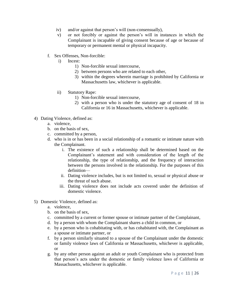- iv) and/or against that person's will (non-consensually),
- v) or not forcibly or against the person's will in instances in which the Complainant is incapable of giving consent because of age or because of temporary or permanent mental or physical incapacity.
- f. Sex Offenses, Non-forcible:
	- i) Incest:
		- 1) Non-forcible sexual intercourse,
		- 2) between persons who are related to each other,
		- 3) within the degrees wherein marriage is prohibited by California or Massachusetts law, whichever is applicable.
	- ii) Statutory Rape:
		- 1) Non-forcible sexual intercourse,
		- 2) with a person who is under the statutory age of consent of 18 in California or 16 in Massachusetts, whichever is applicable.
- 4) Dating Violence, defined as:
	- a. violence,
	- b. on the basis of sex,
	- c. committed by a person,
	- d. who is in or has been in a social relationship of a romantic or intimate nature with the Complainant.
		- i. The existence of such a relationship shall be determined based on the Complainant's statement and with consideration of the length of the relationship, the type of relationship, and the frequency of interaction between the persons involved in the relationship. For the purposes of this definition—
		- ii. Dating violence includes, but is not limited to, sexual or physical abuse or the threat of such abuse.
		- iii. Dating violence does not include acts covered under the definition of domestic violence.
- 5) Domestic Violence, defined as:
	- a. violence,
	- b. on the basis of sex,
	- c. committed by a current or former spouse or intimate partner of the Complainant,
	- d. by a person with whom the Complainant shares a child in common, or
	- e. by a person who is cohabitating with, or has cohabitated with, the Complainant as a spouse or intimate partner, or
	- f. by a person similarly situated to a spouse of the Complainant under the domestic or family violence laws of California or Massachusetts, whichever is applicable, or
	- g. by any other person against an adult or youth Complainant who is protected from that person's acts under the domestic or family violence laws of California or Massachusetts, whichever is applicable.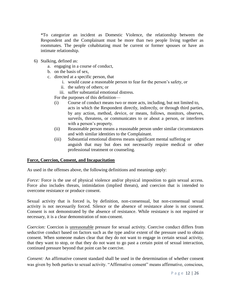\*To categorize an incident as Domestic Violence, the relationship between the Respondent and the Complainant must be more than two people living together as roommates. The people cohabitating must be current or former spouses or have an intimate relationship.

- 6) Stalking, defined as:
	- a. engaging in a course of conduct,
	- b. on the basis of sex,
	- c. directed at a specific person, that
		- i. would cause a reasonable person to fear for the person's safety, or
		- ii. the safety of others; or
		- iii. suffer substantial emotional distress.

For the purposes of this definition—

- (i) Course of conduct means two or more acts, including, but not limited to, acts in which the Respondent directly, indirectly, or through third parties, by any action, method, device, or means, follows, monitors, observes, surveils, threatens, or communicates to or about a person, or interferes with a person's property.
- (ii) Reasonable person means a reasonable person under similar circumstances and with similar identities to the Complainant.
- (iii) Substantial emotional distress means significant mental suffering or anguish that may but does not necessarily require medical or other professional treatment or counseling.

#### <span id="page-16-0"></span>**Force, Coercion, Consent, and Incapacitation**

As used in the offenses above, the following definitions and meanings apply:

*Force:* Force is the use of physical violence and/or physical imposition to gain sexual access. Force also includes threats, intimidation (implied threats), and coercion that is intended to overcome resistance or produce consent.

Sexual activity that is forced is, by definition, non-consensual, but non-consensual sexual activity is not necessarily forced. Silence or the absence of resistance alone is not consent. Consent is not demonstrated by the absence of resistance. While resistance is not required or necessary, it is a clear demonstration of non-consent.

*Coercion:* Coercion is unreasonable pressure for sexual activity. Coercive conduct differs from seductive conduct based on factors such as the type and/or extent of the pressure used to obtain consent. When someone makes clear that they do not want to engage in certain sexual activity, that they want to stop, or that they do not want to go past a certain point of sexual interaction, continued pressure beyond that point can be coercive.

*Consent:* An affirmative consent standard shall be used in the determination of whether consent was given by both parties to sexual activity. "Affirmative consent" means affirmative, conscious,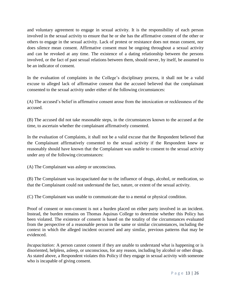and voluntary agreement to engage in sexual activity. It is the responsibility of each person involved in the sexual activity to ensure that he or she has the affirmative consent of the other or others to engage in the sexual activity. Lack of protest or resistance does not mean consent, nor does silence mean consent. Affirmative consent must be ongoing throughout a sexual activity and can be revoked at any time. The existence of a dating relationship between the persons involved, or the fact of past sexual relations between them, should never, by itself, be assumed to be an indicator of consent.

In the evaluation of complaints in the College's disciplinary process, it shall not be a valid excuse to alleged lack of affirmative consent that the accused believed that the complainant consented to the sexual activity under either of the following circumstances:

(A) The accused's belief in affirmative consent arose from the intoxication or recklessness of the accused.

(B) The accused did not take reasonable steps, in the circumstances known to the accused at the time, to ascertain whether the complainant affirmatively consented.

In the evaluation of Complaints, it shall not be a valid excuse that the Respondent believed that the Complainant affirmatively consented to the sexual activity if the Respondent knew or reasonably should have known that the Complainant was unable to consent to the sexual activity under any of the following circumstances:

(A) The Complainant was asleep or unconscious.

(B) The Complainant was incapacitated due to the influence of drugs, alcohol, or medication, so that the Complainant could not understand the fact, nature, or extent of the sexual activity.

(C) The Complainant was unable to communicate due to a mental or physical condition.

Proof of consent or non-consent is not a burden placed on either party involved in an incident. Instead, the burden remains on Thomas Aquinas College to determine whether this Policy has been violated. The existence of consent is based on the totality of the circumstances evaluated from the perspective of a reasonable person in the same or similar circumstances, including the context in which the alleged incident occurred and any similar, previous patterns that may be evidenced.

*Incapacitation:* A person cannot consent if they are unable to understand what is happening or is disoriented, helpless, asleep, or unconscious, for any reason, including by alcohol or other drugs. As stated above, a Respondent violates this Policy if they engage in sexual activity with someone who is incapable of giving consent.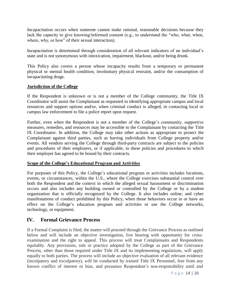Incapacitation occurs when someone cannot make rational, reasonable decisions because they lack the capacity to give knowing/informed consent (e.g., to understand the "who, what, when, where, why, or how" of their sexual interaction).

Incapacitation is determined through consideration of all relevant indicators of an individual's state and is not synonymous with intoxication, impairment, blackout, and/or being drunk.

This Policy also covers a person whose incapacity results from a temporary or permanent physical or mental health condition, involuntary physical restraint, and/or the consumption of incapacitating drugs.

#### <span id="page-18-0"></span>**Jurisdiction of the College**

If the Respondent is unknown or is not a member of the College community, the Title IX Coordinator will assist the Complainant as requested in identifying appropriate campus and local resources and support options and/or, when criminal conduct is alleged, in contacting local or campus law enforcement to file a police report upon request.

Further, even when the Respondent is not a member of the College's community, supportive measures, remedies, and resources may be accessible to the Complainant by contacting the Title IX Coordinator. In addition, the College may take other actions as appropriate to protect the Complainant against third parties, such as barring individuals from College property and/or events. All vendors serving the College through third-party contracts are subject to the policies and procedures of their employers, or if applicable, to these policies and procedures to which their employer has agreed to be bound by their contracts.

#### <span id="page-18-1"></span>**Scope of the College's Educational Program and Activities**

For purposes of this Policy, the College's educational program or activities includes locations, events, or circumstances, within the U.S., where the College exercises substantial control over both the Respondent and the context in which the alleged sexual harassment or discrimination occurs and also includes any building owned or controlled by the College or by a student organization that is officially recognized by the College. It also includes online, and cyber manifestations of conduct prohibited by this Policy, when those behaviors occur in or have an effect on the College's education program and activities or use the College networks, technology, or equipment.

# <span id="page-18-2"></span>**IV. Formal Grievance Process**

If a Formal Complaint is filed, the matter will proceed through the Grievance Process as outlined below and will include an objective investigation, live hearing with opportunity for crossexamination and the right to appeal. This process will treat Complainants and Respondents equitably. Any provisions, rule or practice adopted by the College as part of the Grievance Process, other than those required under Title IX and its implementing regulations, will apply equally to both parties. The process will include an objective evaluation of all relevant evidence (inculpatory and exculpatory), will be conducted by trained Title IX Personnel, free from any known conflict of interest or bias, and presumes Respondent's non-responsibility until and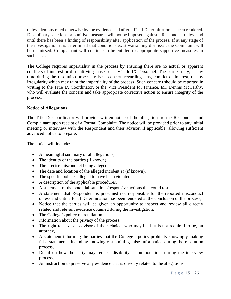unless demonstrated otherwise by the evidence and after a Final Determination as been rendered. Disciplinary sanctions or punitive measures will not be imposed against a Respondent unless and until there has been a finding of responsibility after application of the process. If at any stage of the investigation it is determined that conditions exist warranting dismissal, the Complaint will be dismissed. Complainant will continue to be entitled to appropriate supportive measures in such cases.

The College requires impartiality in the process by ensuring there are no actual or apparent conflicts of interest or disqualifying biases of any Title IX Personnel. The parties may, at any time during the resolution process, raise a concern regarding bias, conflict of interest, or any irregularity which may taint the impartiality of the process. Such concerns should be reported in writing to the Title IX Coordinator, or the Vice President for Finance, Mr. Dennis McCarthy, who will evaluate the concern and take appropriate corrective action to ensure integrity of the process.

#### <span id="page-19-0"></span>**Notice of Allegations**

The Title IX Coordinator will provide written notice of the allegations to the Respondent and Complainant upon receipt of a Formal Complaint. The notice will be provided prior to any initial meeting or interview with the Respondent and their advisor, if applicable, allowing sufficient advanced notice to prepare.

The notice will include:

- A meaningful summary of all allegations,
- The identity of the parties (if known),
- The precise misconduct being alleged,
- The date and location of the alleged incident(s) (if known),
- The specific policies alleged to have been violated,
- A description of the applicable procedures,
- A statement of the potential sanctions/responsive actions that could result,
- A statement that Respondent is presumed not responsible for the reported misconduct unless and until a Final Determination has been rendered at the conclusion of the process,
- Notice that the parties will be given an opportunity to inspect and review all directly related and relevant evidence obtained during the investigation,
- The College's policy on retaliation,
- Information about the privacy of the process,
- The right to have an advisor of their choice, who may be, but is not required to be, an attorney,
- A statement informing the parties that the College's policy prohibits knowingly making false statements, including knowingly submitting false information during the resolution process,
- Detail on how the party may request disability accommodations during the interview process,
- An instruction to preserve any evidence that is directly related to the allegations.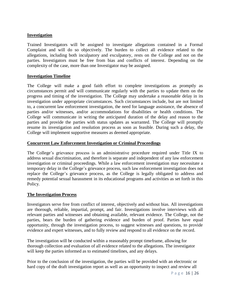#### <span id="page-20-0"></span>**Investigation**

Trained Investigators will be assigned to investigate allegations contained in a Formal Complaint and will do so objectively. The burden to collect all evidence related to the allegations, including both inculpatory and exculpatory, rests on the College and not on the parties. Investigators must be free from bias and conflicts of interest. Depending on the complexity of the case, more than one Investigator may be assigned.

#### <span id="page-20-1"></span>**Investigation Timeline**

The College will make a good faith effort to complete investigations as promptly as circumstances permit and will communicate regularly with the parties to update them on the progress and timing of the investigation. The College may undertake a reasonable delay in its investigation under appropriate circumstances. Such circumstances include, but are not limited to, a concurrent law enforcement investigation, the need for language assistance, the absence of parties and/or witnesses, and/or accommodations for disabilities or health conditions. The College will communicate in writing the anticipated duration of the delay and reason to the parties and provide the parties with status updates as warranted. The College will promptly resume its investigation and resolution process as soon as feasible. During such a delay, the College will implement supportive measures as deemed appropriate.

#### <span id="page-20-2"></span>**Concurrent Law Enforcement Investigation or Criminal Proceedings**

The College's grievance process is an administrative procedure required under Title IX to address sexual discrimination, and therefore is separate and independent of any law enforcement investigation or criminal proceedings. While a law enforcement investigation may necessitate a temporary delay in the College's grievance process, such law enforcement investigation does not replace the College's grievance process, as the College is legally obligated to address and remedy potential sexual harassment in its educational programs and activities as set forth in this Policy.

#### <span id="page-20-3"></span>**The Investigation Process**

Investigators serve free from conflict of interest, objectively and without bias. All investigations are thorough, reliable, impartial, prompt, and fair. Investigations involve interviews with all relevant parties and witnesses and obtaining available, relevant evidence. The College, not the parties, bears the burden of gathering evidence and burden of proof. Parties have equal opportunity, through the investigation process, to suggest witnesses and questions, to provide evidence and expert witnesses, and to fully review and respond to all evidence on the record.

The investigation will be conducted within a reasonably prompt timeframe, allowing for thorough collection and evaluation of all evidence related to the allegations. The investigator will keep the parties informed as to estimated timelines, and any delays.

Prior to the conclusion of the investigation, the parties will be provided with an electronic or hard copy of the draft investigation report as well as an opportunity to inspect and review all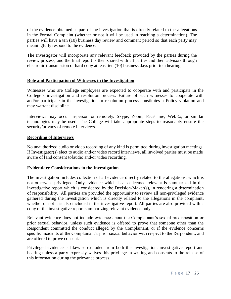of the evidence obtained as part of the investigation that is directly related to the allegations in the Formal Complaint (whether or not it will be used in reaching a determination). The parties will have a ten (10) business day review and comment period so that each party may meaningfully respond to the evidence.

The Investigator will incorporate any relevant feedback provided by the parties during the review process, and the final report is then shared with all parties and their advisors through electronic transmission or hard copy at least ten (10) business days prior to a hearing.

#### <span id="page-21-0"></span>**Role and Participation of Witnesses in the Investigation**

Witnesses who are College employees are expected to cooperate with and participate in the College's investigation and resolution process. Failure of such witnesses to cooperate with and/or participate in the investigation or resolution process constitutes a Policy violation and may warrant discipline.

Interviews may occur in-person or remotely. Skype, Zoom, FaceTime, WebEx, or similar technologies may be used. The College will take appropriate steps to reasonably ensure the security/privacy of remote interviews.

#### <span id="page-21-1"></span>**Recording of Interviews**

No unauthorized audio or video recording of any kind is permitted during investigation meetings. If Investigator(s) elect to audio and/or video record interviews, all involved parties must be made aware of [and consent to]audio and/or video recording.

#### <span id="page-21-2"></span>**Evidentiary Considerations in the Investigation**

The investigation includes collection of all evidence directly related to the allegations, which is not otherwise privileged. Only evidence which is also deemed relevant is summarized in the investigative report which is considered by the Decision-Maker(s), in rendering a determination of responsibility. All parties are provided the opportunity to review all non-privileged evidence gathered during the investigation which is directly related to the allegations in the complaint, whether or not it is also included in the investigative report. All parties are also provided with a copy of the investigative report summarizing relevant evidence only.

Relevant evidence does not include evidence about the Complainant's sexual predisposition or prior sexual behavior, unless such evidence is offered to prove that someone other than the Respondent committed the conduct alleged by the Complainant, or if the evidence concerns specific incidents of the Complainant's prior sexual behavior with respect to the Respondent, and are offered to prove consent.

Privileged evidence is likewise excluded from both the investigation, investigative report and hearing unless a party expressly waives this privilege in writing and consents to the release of this information during the grievance process.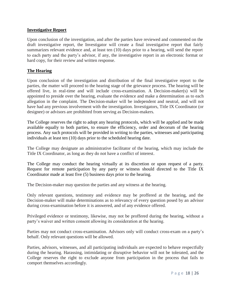#### <span id="page-22-0"></span>**Investigative Report**

Upon conclusion of the investigation, and after the parties have reviewed and commented on the draft investigative report, the Investigator will create a final investigative report that fairly summarizes relevant evidence and, at least ten (10) days prior to a hearing, will send the report to each party and the party's advisor, if any, the investigative report in an electronic format or hard copy, for their review and written response.

#### <span id="page-22-1"></span>**The Hearing**

Upon conclusion of the investigation and distribution of the final investigative report to the parties, the matter will proceed to the hearing stage of the grievance process. The hearing will be offered live, in real-time and will include cross-examination. A Decision-maker(s) will be appointed to preside over the hearing, evaluate the evidence and make a determination as to each allegation in the complaint. The Decision-maker will be independent and neutral, and will not have had any previous involvement with the investigation. Investigators, Title IX Coordinator (or designee) or advisors are prohibited from serving as Decision-makers.

The College reserves the right to adopt any hearing protocols, which will be applied and be made available equally to both parties, to ensure the efficiency, order and decorum of the hearing process. Any such protocols will be provided in writing to the parties, witnesses and participating individuals at least ten (10) days prior to the scheduled hearing date.

The College may designate an administrative facilitator of the hearing, which may include the Title IX Coordinator, as long as they do not have a conflict of interest.

The College may conduct the hearing virtually at its discretion or upon request of a party. Request for remote participation by any party or witness should directed to the Title IX Coordinator made at least five (5) business days prior to the hearing.

The Decision-maker may question the parties and any witness at the hearing.

Only relevant questions, testimony and evidence may be proffered at the hearing, and the Decision-maker will make determinations as to relevancy of every question posed by an advisor during cross-examination before it is answered, and of any evidence offered.

Privileged evidence or testimony, likewise, may not be proffered during the hearing, without a party's waiver and written consent allowing its consideration at the hearing.

Parties may not conduct cross-examination. Advisors only will conduct cross-exam on a party's behalf. Only relevant questions will be allowed.

Parties, advisors, witnesses, and all participating individuals are expected to behave respectfully during the hearing. Harassing, intimidating or disruptive behavior will not be tolerated, and the College reserves the right to exclude anyone from participation in the process that fails to comport themselves accordingly.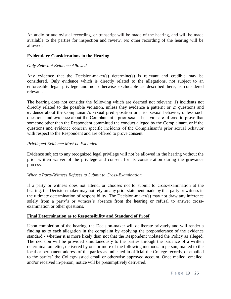An audio or audiovisual recording, or transcript will be made of the hearing, and will be made available to the parties for inspection and review. No other recording of the hearing will be allowed.

#### <span id="page-23-0"></span>**Evidentiary Considerations in the Hearing**

#### *Only Relevant Evidence Allowed*

Any evidence that the Decision-maker(s) determine(s) is relevant and credible may be considered. Only evidence which is directly related to the allegations, not subject to an enforceable legal privilege and not otherwise excludable as described here, is considered relevant.

The hearing does not consider the following which are deemed not relevant: 1) incidents not directly related to the possible violation, unless they evidence a pattern; or 2) questions and evidence about the Complainant's sexual predisposition or prior sexual behavior, unless such questions and evidence about the Complainant's prior sexual behavior are offered to prove that someone other than the Respondent committed the conduct alleged by the Complainant, or if the questions and evidence concern specific incidents of the Complainant's prior sexual behavior with respect to the Respondent and are offered to prove consent.

#### *Privileged Evidence Must be Excluded*

Evidence subject to any recognized legal privilege will not be allowed in the hearing without the prior written waiver of the privilege and consent for its consideration during the grievance process.

#### *When a Party/Witness Refuses to Submit to Cross-Examination*

If a party or witness does not attend, or chooses not to submit to cross-examination at the hearing, the Decision-maker may not rely on any prior statement made by that party or witness in the ultimate determination of responsibility. The Decision-maker(s) may not draw any inference solely from a party's or witness's absence from the hearing or refusal to answer crossexamination or other questions.

#### <span id="page-23-1"></span>**Final Determination as to Responsibility and Standard of Proof**

Upon completion of the hearing, the Decision-maker will deliberate privately and will render a finding as to each allegation in the complaint by applying the preponderance of the evidence standard - whether it is more likely than not that the Respondent violated the Policy as alleged. The decision will be provided simultaneously to the parties through the issuance of a written determination letter, delivered by one or more of the following methods: in person, mailed to the local or permanent address of the parties as indicated in official the College records, or emailed to the parties' the College-issued email or otherwise approved account. Once mailed, emailed, and/or received in-person, notice will be presumptively delivered.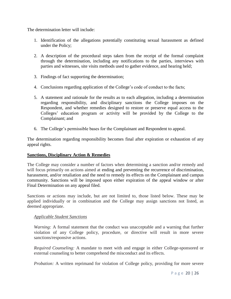The determination letter will include:

- 1. Identification of the allegations potentially constituting sexual harassment as defined under the Policy;
- 2. A description of the procedural steps taken from the receipt of the formal complaint through the determination, including any notifications to the parties, interviews with parties and witnesses, site visits methods used to gather evidence, and hearing held;
- 3. Findings of fact supporting the determination;
- 4. Conclusions regarding application of the College's code of conduct to the facts;
- 5. A statement and rationale for the results as to each allegation, including a determination regarding responsibility, and disciplinary sanctions the College imposes on the Respondent, and whether remedies designed to restore or preserve equal access to the Colleges' education program or activity will be provided by the College to the Complainant; and
- 6. The College's permissible bases for the Complainant and Respondent to appeal.

The determination regarding responsibility becomes final after expiration or exhaustion of any appeal rights.

#### <span id="page-24-0"></span>**Sanctions, Disciplinary Action & Remedies**

The College may consider a number of factors when determining a sanction and/or remedy and will focus primarily on actions aimed at ending and preventing the recurrence of discrimination, harassment, and/or retaliation and the need to remedy its effects on the Complainant and campus community. Sanctions will be imposed upon either expiration of the appeal window or after Final Determination on any appeal filed.

Sanctions or actions may include, but are not limited to, those listed below. These may be applied individually or in combination and the College may assign sanctions not listed, as deemed appropriate.

#### *Applicable Student Sanctions*

*Warning:* A formal statement that the conduct was unacceptable and a warning that further violation of any College policy, procedure, or directive will result in more severe sanctions/responsive actions.

*Required Counseling:* A mandate to meet with and engage in either College-sponsored or external counseling to better comprehend the misconduct and its effects.

*Probation:* A written reprimand for violation of College policy, providing for more severe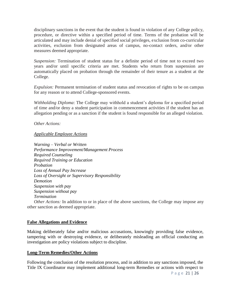disciplinary sanctions in the event that the student is found in violation of any College policy, procedure, or directive within a specified period of time. Terms of the probation will be articulated and may include denial of specified social privileges, exclusion from co-curricular activities, exclusion from designated areas of campus, no-contact orders, and/or other measures deemed appropriate.

*Suspension:* Termination of student status for a definite period of time not to exceed two years and/or until specific criteria are met. Students who return from suspension are automatically placed on probation through the remainder of their tenure as a student at the College.

*Expulsion:* Permanent termination of student status and revocation of rights to be on campus for any reason or to attend College-sponsored events.

*Withholding Diploma*: The College may withhold a student's diploma for a specified period of time and/or deny a student participation in commencement activities if the student has an allegation pending or as a sanction if the student is found responsible for an alleged violation.

*Other Actions:*

#### *Applicable Employee Actions*

*Warning – Verbal or Written Performance Improvement/Management Process Required Counseling Required Training or Education Probation Loss of Annual Pay Increase Loss of Oversight or Supervisory Responsibility Demotion Suspension with pay Suspension without pay Termination* 

<span id="page-25-0"></span>*Other Actions:* In addition to or in place of the above sanctions, the College may impose any other sanction as deemed appropriate.

#### **False Allegations and Evidence**

Making deliberately false and/or malicious accusations, knowingly providing false evidence, tampering with or destroying evidence, or deliberately misleading an official conducting an investigation are policy violations subject to discipline.

#### <span id="page-25-1"></span>**Long-Term Remedies/Other Actions**

Following the conclusion of the resolution process, and in addition to any sanctions imposed, the Title IX Coordinator may implement additional long-term Remedies or actions with respect to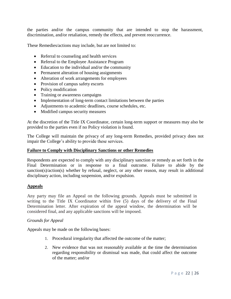the parties and/or the campus community that are intended to stop the harassment, discrimination, and/or retaliation, remedy the effects, and prevent reoccurrence.

These Remedies/actions may include, but are not limited to:

- Referral to counseling and health services
- Referral to the Employee Assistance Program
- Education to the individual and/or the community
- Permanent alteration of housing assignments
- Alteration of work arrangements for employees
- Provision of campus safety escorts
- Policy modification
- Training or awareness campaigns
- Implementation of long-term contact limitations between the parties
- Adjustments to academic deadlines, course schedules, etc.
- Modified campus security measures

At the discretion of the Title IX Coordinator, certain long-term support or measures may also be provided to the parties even if no Policy violation is found.

The College will maintain the privacy of any long-term Remedies, provided privacy does not impair the College's ability to provide these services.

#### <span id="page-26-0"></span>**Failure to Comply with Disciplinary Sanctions or other Remedies**

Respondents are expected to comply with any disciplinary sanction or remedy as set forth in the Final Determination or in response to a final outcome. Failure to abide by the sanction(s)/action(s) whether by refusal, neglect, or any other reason, may result in additional disciplinary action, including suspension, and/or expulsion.

#### <span id="page-26-1"></span>**Appeals**

Any party may file an Appeal on the following grounds. Appeals must be submitted in writing to the Title IX Coordinator within five (5) days of the delivery of the Final Determination letter. After expiration of the appeal window, the determination will be considered final, and any applicable sanctions will be imposed.

#### *Grounds for Appeal*

Appeals may be made on the following bases:

- 1. Procedural irregularity that affected the outcome of the matter;
- 2. New evidence that was not reasonably available at the time the determination regarding responsibility or dismissal was made, that could affect the outcome of the matter; and/or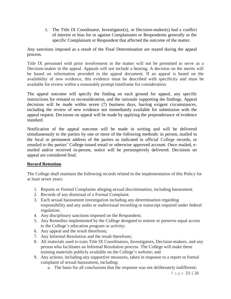3. The Title IX Coordinator, Investigator(s), or Decision-maker(s) had a conflict of interest or bias for or against Complainants or Respondents generally or the specific Complainant or Respondent that affected the outcome of the matter.

Any sanctions imposed as a result of the Final Determination are stayed during the appeal process.

Title IX personnel with prior involvement in the matter will not be permitted to serve as a Decision-maker in the appeal. Appeals will not include a hearing. A decision on the merits will be based on information provided in the appeal document. If an appeal is based on the availability of new evidence, this evidence must be described with specificity and must be available for review within a reasonably prompt timeframe for consideration.

The appeal outcome will specify the finding on each ground for appeal, any specific instructions for remand or reconsideration, and the rationale supporting the findings. Appeal decisions will be made within seven (7) business days, barring exigent circumstances, including the review of new evidence not immediately available for submission with the appeal request. Decisions on appeal will be made by applying the preponderance of evidence standard.

Notification of the appeal outcome will be made in writing and will be delivered simultaneously to the parties by one or more of the following methods: in person, mailed to the local or permanent address of the parties as indicated in official College records, or emailed to the parties' College-issued email or otherwise approved account. Once mailed, emailed and/or received in-person, notice will be presumptively delivered. Decisions on appeal are considered final.

#### <span id="page-27-0"></span>**Record Retention**

The College shall maintain the following records related to the implementation of this Policy for at least seven years:

- 1. Reports or Formal Complaints alleging sexual discrimination, including harassment.
- 2. Records of any dismissal of a Formal Complaint.
- 3. Each sexual harassment investigation including any determination regarding responsibility and any audio or audiovisual recording or transcript required under federal regulation;
- 4. Any disciplinary sanctions imposed on the Respondent;
- 5. Any Remedies implemented by the College designed to restore or preserve equal access to the College's education program or activity;
- 6. Any appeal and the result therefrom;
- 7. Any Informal Resolution and the result therefrom;
- 8. All materials used to train Title IX Coordinators, Investigators, Decision-makers, and any person who facilitates an Informal Resolution process. The College will make these training materials publicly available on the College's website; and
- 9. Any actions, including any supportive measures, taken in response to a report or formal complaint of sexual harassment, including:
	- a. The basis for all conclusions that the response was not deliberately indifferent;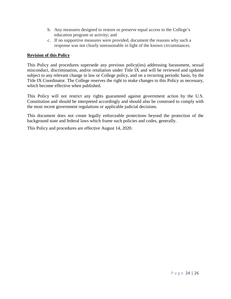- b. Any measures designed to restore or preserve equal access to the College's education program or activity; and
- c. If no supportive measures were provided, document the reasons why such a response was not clearly unreasonable in light of the known circumstances.

#### <span id="page-28-0"></span>**Revision of this Policy**

This Policy and procedures supersede any previous policy(ies) addressing harassment, sexual misconduct, discrimination, and/or retaliation under Title IX and will be reviewed and updated subject to any relevant change in law or College policy, and on a recurring periodic basis, by the Title IX Coordinator. The College reserves the right to make changes to this Policy as necessary, which become effective when published.

This Policy will not restrict any rights guaranteed against government action by the U.S. Constitution and should be interpreted accordingly and should also be construed to comply with the most recent government regulations or applicable judicial decisions.

This document does not create legally enforceable protections beyond the protection of the background state and federal laws which frame such policies and codes, generally.

This Policy and procedures are effective August 14, 2020.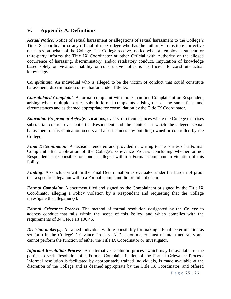## <span id="page-29-0"></span>**V. Appendix A: Definitions**

*Actual Notice*. Notice of sexual harassment or allegations of sexual harassment to the College's Title IX Coordinator or any official of the College who has the authority to institute corrective measures on behalf of the College. The College receives notice when an employee, student, or third-party informs the Title IX Coordinator or other Official with Authority of the alleged occurrence of harassing, discriminatory, and/or retaliatory conduct. Imputation of knowledge based solely on vicarious liability or constructive notice is insufficient to constitute actual knowledge.

*Complainant*. An individual who is alleged to be the victim of conduct that could constitute harassment, discrimination or retaliation under Title IX.

*Consolidated Complaint.* A formal complaint with more than one Complainant or Respondent arising when multiple parties submit formal complaints arising out of the same facts and circumstances and as deemed appropriate for consolidation by the Title IX Coordinator.

*Education Program or Activity*. Locations, events, or circumstances where the College exercises substantial control over both the Respondent and the context in which the alleged sexual harassment or discrimination occurs and also includes any building owned or controlled by the College.

*Final Determination*: A decision rendered and provided in writing to the parties of a Formal Complaint after application of the College's Grievance Process concluding whether or not Respondent is responsible for conduct alleged within a Formal Complaint in violation of this Policy.

*Finding*: A conclusion within the Final Determination as evaluated under the burden of proof that a specific allegation within a Formal Complaint did or did not occur.

*Formal Complaint.* A document filed and signed by the Complainant or signed by the Title IX Coordinator alleging a Policy violation by a Respondent and requesting that the College investigate the allegation(s).

*Formal Grievance Process*. The method of formal resolution designated by the College to address conduct that falls within the scope of this Policy, and which complies with the requirements of 34 CFR Part 106.45.

*Decision-maker(s)*. A trained individual with responsibility for making a Final Determination as set forth in the College' Grievance Process. A Decision-maker must maintain neutrality and cannot perform the function of either the Title IX Coordinator or Investigator.

*Informal Resolution Process.* An alternative resolution process which may be available to the parties to seek Resolution of a Formal Complaint in lieu of the Formal Grievance Process. Informal resolution is facilitated by appropriately trained individuals, is made available at the discretion of the College and as deemed appropriate by the Title IX Coordinator, and offered